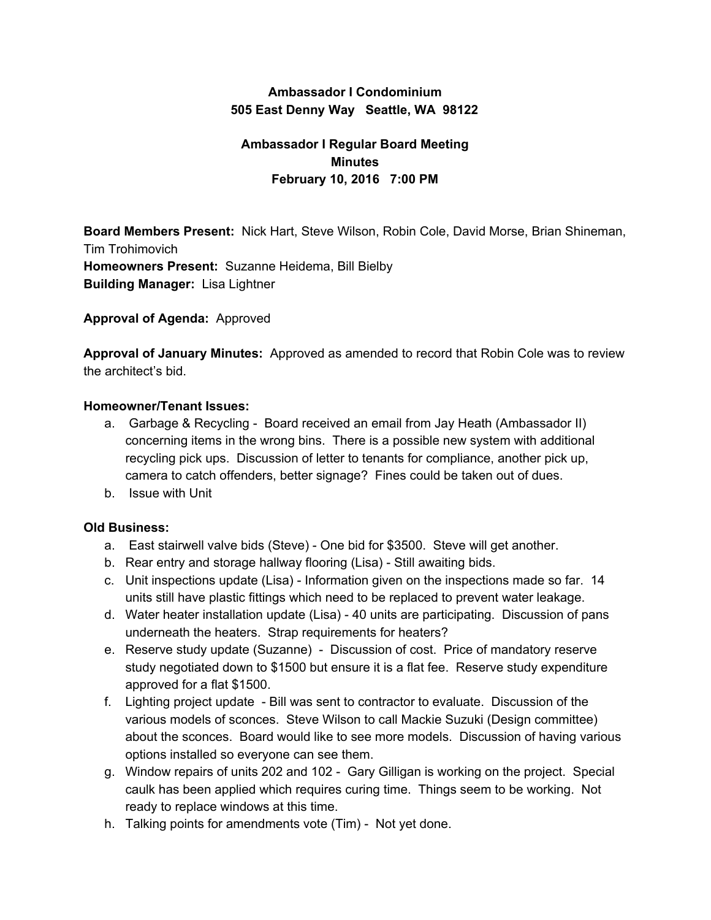# **Ambassador I Condominium 505 East Denny Way Seattle, WA 98122**

# **Ambassador I Regular Board Meeting Minutes February 10, 2016 7:00 PM**

**Board Members Present:** Nick Hart, Steve Wilson, Robin Cole, David Morse, Brian Shineman, Tim Trohimovich **Homeowners Present:** Suzanne Heidema, Bill Bielby **Building Manager:** Lisa Lightner

### **Approval of Agenda:** Approved

**Approval of January Minutes:** Approved as amended to record that Robin Cole was to review the architect's bid.

#### **Homeowner/Tenant Issues:**

- a. Garbage & Recycling Board received an email from Jay Heath (Ambassador II) concerning items in the wrong bins. There is a possible new system with additional recycling pick ups. Discussion of letter to tenants for compliance, another pick up, camera to catch offenders, better signage? Fines could be taken out of dues.
- b. Issue with Unit

#### **Old Business:**

- a. East stairwell valve bids (Steve) One bid for \$3500. Steve will get another.
- b. Rear entry and storage hallway flooring (Lisa) Still awaiting bids.
- c. Unit inspections update (Lisa) Information given on the inspections made so far. 14 units still have plastic fittings which need to be replaced to prevent water leakage.
- d. Water heater installation update (Lisa) 40 units are participating. Discussion of pans underneath the heaters. Strap requirements for heaters?
- e. Reserve study update (Suzanne) Discussion of cost. Price of mandatory reserve study negotiated down to \$1500 but ensure it is a flat fee. Reserve study expenditure approved for a flat \$1500.
- f. Lighting project update Bill was sent to contractor to evaluate. Discussion of the various models of sconces. Steve Wilson to call Mackie Suzuki (Design committee) about the sconces. Board would like to see more models. Discussion of having various options installed so everyone can see them.
- g. Window repairs of units 202 and 102 Gary Gilligan is working on the project. Special caulk has been applied which requires curing time. Things seem to be working. Not ready to replace windows at this time.
- h. Talking points for amendments vote (Tim) Not yet done.